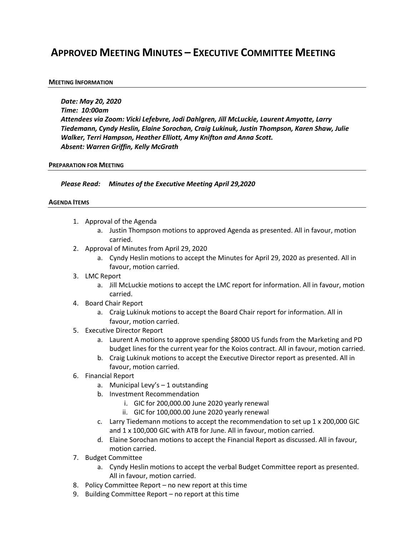# **APPROVED MEETING MINUTES – EXECUTIVE COMMITTEE MEETING**

### **MEETING INFORMATION**

*Date: May 20, 2020 Time: 10:00am Attendees via Zoom: Vicki Lefebvre, Jodi Dahlgren, Jill McLuckie, Laurent Amyotte, Larry Tiedemann, Cyndy Heslin, Elaine Sorochan, Craig Lukinuk, Justin Thompson, Karen Shaw, Julie Walker, Terri Hampson, Heather Elliott, Amy Knifton and Anna Scott. Absent: Warren Griffin, Kelly McGrath*

#### **PREPARATION FOR MEETING**

*Please Read: Minutes of the Executive Meeting April 29,2020*

#### **AGENDA ITEMS**

- 1. Approval of the Agenda
	- a. Justin Thompson motions to approved Agenda as presented. All in favour, motion carried.
- 2. Approval of Minutes from April 29, 2020
	- a. Cyndy Heslin motions to accept the Minutes for April 29, 2020 as presented. All in favour, motion carried.
- 3. LMC Report
	- a. Jill McLuckie motions to accept the LMC report for information. All in favour, motion carried.
- 4. Board Chair Report
	- a. Craig Lukinuk motions to accept the Board Chair report for information. All in favour, motion carried.
- 5. Executive Director Report
	- a. Laurent A motions to approve spending \$8000 US funds from the Marketing and PD budget lines for the current year for the Koios contract. All in favour, motion carried.
	- b. Craig Lukinuk motions to accept the Executive Director report as presented. All in favour, motion carried.
- 6. Financial Report
	- a. Municipal Levy's 1 outstanding
	- b. Investment Recommendation
		- i. GIC for 200,000.00 June 2020 yearly renewal
		- ii. GIC for 100,000.00 June 2020 yearly renewal
	- c. Larry Tiedemann motions to accept the recommendation to set up  $1 \times 200,000$  GIC and 1 x 100,000 GIC with ATB for June. All in favour, motion carried.
	- d. Elaine Sorochan motions to accept the Financial Report as discussed. All in favour, motion carried.
- 7. Budget Committee
	- a. Cyndy Heslin motions to accept the verbal Budget Committee report as presented. All in favour, motion carried.
- 8. Policy Committee Report no new report at this time
- 9. Building Committee Report no report at this time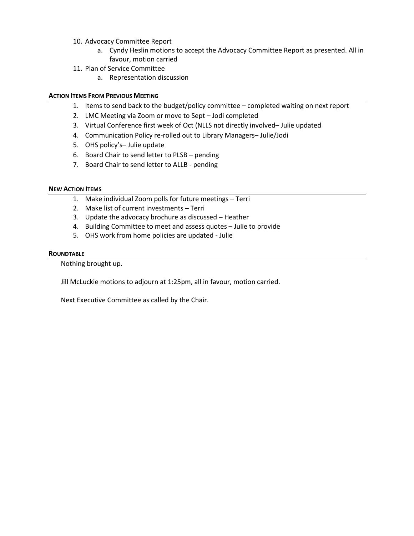- 10. Advocacy Committee Report
	- a. Cyndy Heslin motions to accept the Advocacy Committee Report as presented. All in favour, motion carried
- 11. Plan of Service Committee
	- a. Representation discussion

# **ACTION ITEMS FROM PREVIOUS MEETING**

- 1. Items to send back to the budget/policy committee completed waiting on next report
- 2. LMC Meeting via Zoom or move to Sept Jodi completed
- 3. Virtual Conference first week of Oct (NLLS not directly involved– Julie updated
- 4. Communication Policy re-rolled out to Library Managers– Julie/Jodi
- 5. OHS policy's– Julie update
- 6. Board Chair to send letter to PLSB pending
- 7. Board Chair to send letter to ALLB pending

# **NEW ACTION ITEMS**

- 1. Make individual Zoom polls for future meetings Terri
- 2. Make list of current investments Terri
- 3. Update the advocacy brochure as discussed Heather
- 4. Building Committee to meet and assess quotes Julie to provide
- 5. OHS work from home policies are updated Julie

# **ROUNDTABLE**

Nothing brought up.

Jill McLuckie motions to adjourn at 1:25pm, all in favour, motion carried.

Next Executive Committee as called by the Chair.